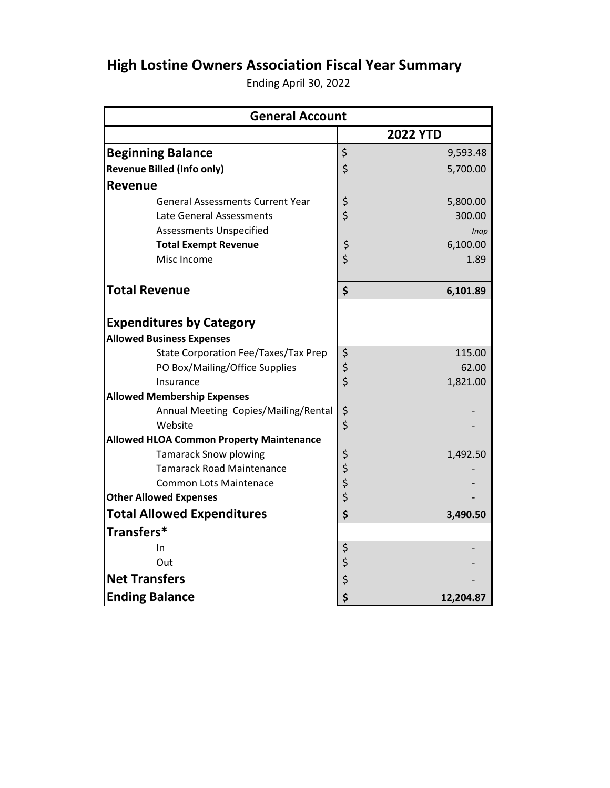## **High Lostine Owners Association Fiscal Year Summary**

Ending April 30, 2022

| <b>General Account</b>                          |        |                 |  |  |
|-------------------------------------------------|--------|-----------------|--|--|
|                                                 |        | <b>2022 YTD</b> |  |  |
| <b>Beginning Balance</b>                        | \$     | 9,593.48        |  |  |
| <b>Revenue Billed (Info only)</b>               | \$     | 5,700.00        |  |  |
| <b>Revenue</b>                                  |        |                 |  |  |
| <b>General Assessments Current Year</b>         | \$     | 5,800.00        |  |  |
| Late General Assessments                        | \$     | 300.00          |  |  |
| <b>Assessments Unspecified</b>                  |        | Inap            |  |  |
| <b>Total Exempt Revenue</b>                     | \$     | 6,100.00        |  |  |
| Misc Income                                     | \$     | 1.89            |  |  |
| <b>Total Revenue</b>                            | \$     | 6,101.89        |  |  |
| <b>Expenditures by Category</b>                 |        |                 |  |  |
| <b>Allowed Business Expenses</b>                |        |                 |  |  |
| State Corporation Fee/Taxes/Tax Prep            | \$     | 115.00          |  |  |
| PO Box/Mailing/Office Supplies                  | \$     | 62.00           |  |  |
| Insurance                                       |        | 1,821.00        |  |  |
| <b>Allowed Membership Expenses</b>              |        |                 |  |  |
| Annual Meeting Copies/Mailing/Rental            | \$     |                 |  |  |
| Website                                         | \$     |                 |  |  |
| <b>Allowed HLOA Common Property Maintenance</b> |        |                 |  |  |
| <b>Tamarack Snow plowing</b>                    | \$     | 1,492.50        |  |  |
| <b>Tamarack Road Maintenance</b>                |        |                 |  |  |
| <b>Common Lots Maintenace</b>                   | \$\$\$ |                 |  |  |
| <b>Other Allowed Expenses</b>                   |        |                 |  |  |
| <b>Total Allowed Expenditures</b>               | \$     | 3,490.50        |  |  |
| Transfers*                                      |        |                 |  |  |
| In                                              | \$     |                 |  |  |
| Out                                             | \$     |                 |  |  |
| <b>Net Transfers</b>                            | \$     |                 |  |  |
| <b>Ending Balance</b>                           | \$     | 12,204.87       |  |  |